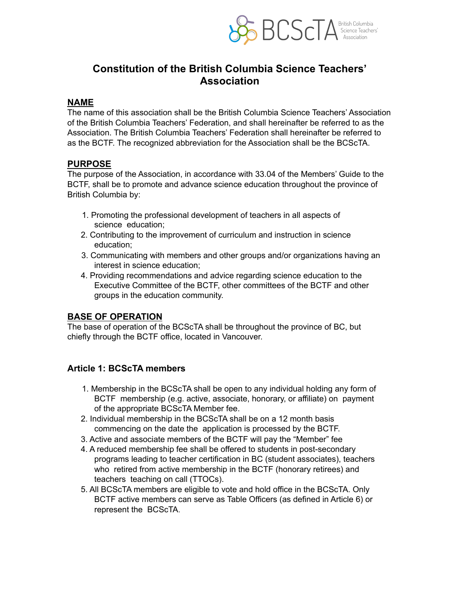

# **Constitution of the British Columbia Science Teachers' Association**

#### **NAME**

The name of this association shall be the British Columbia Science Teachers' Association of the British Columbia Teachers' Federation, and shall hereinafter be referred to as the Association. The British Columbia Teachers' Federation shall hereinafter be referred to as the BCTF. The recognized abbreviation for the Association shall be the BCScTA.

#### **PURPOSE**

The purpose of the Association, in accordance with 33.04 of the Members' Guide to the BCTF, shall be to promote and advance science education throughout the province of British Columbia by:

- 1. Promoting the professional development of teachers in all aspects of science education;
- 2. Contributing to the improvement of curriculum and instruction in science education;
- 3. Communicating with members and other groups and/or organizations having an interest in science education;
- 4. Providing recommendations and advice regarding science education to the Executive Committee of the BCTF, other committees of the BCTF and other groups in the education community.

# **BASE OF OPERATION**

The base of operation of the BCScTA shall be throughout the province of BC, but chiefly through the BCTF office, located in Vancouver.

### **Article 1: BCScTA members**

- 1. Membership in the BCScTA shall be open to any individual holding any form of BCTF membership (e.g. active, associate, honorary, or affiliate) on payment of the appropriate BCScTA Member fee.
- 2. Individual membership in the BCScTA shall be on a 12 month basis commencing on the date the application is processed by the BCTF.
- 3. Active and associate members of the BCTF will pay the "Member" fee
- 4. A reduced membership fee shall be offered to students in post-secondary programs leading to teacher certification in BC (student associates), teachers who retired from active membership in the BCTF (honorary retirees) and teachers teaching on call (TTOCs).
- 5. All BCScTA members are eligible to vote and hold office in the BCScTA. Only BCTF active members can serve as Table Officers (as defined in Article 6) or represent the BCScTA.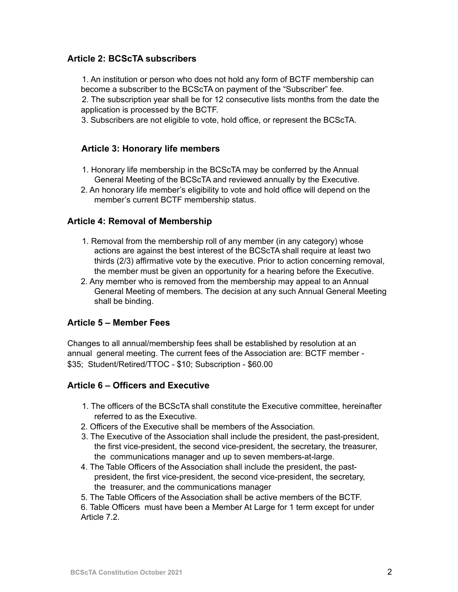### **Article 2: BCScTA subscribers**

1. An institution or person who does not hold any form of BCTF membership can become a subscriber to the BCScTA on payment of the "Subscriber" fee.

2. The subscription year shall be for 12 consecutive lists months from the date the application is processed by the BCTF.

3. Subscribers are not eligible to vote, hold office, or represent the BCScTA.

#### **Article 3: Honorary life members**

- 1. Honorary life membership in the BCScTA may be conferred by the Annual General Meeting of the BCScTA and reviewed annually by the Executive.
- 2. An honorary life member's eligibility to vote and hold office will depend on the member's current BCTF membership status.

#### **Article 4: Removal of Membership**

- 1. Removal from the membership roll of any member (in any category) whose actions are against the best interest of the BCScTA shall require at least two thirds (2/3) affirmative vote by the executive. Prior to action concerning removal, the member must be given an opportunity for a hearing before the Executive.
- 2. Any member who is removed from the membership may appeal to an Annual General Meeting of members. The decision at any such Annual General Meeting shall be binding.

### **Article 5 – Member Fees**

Changes to all annual/membership fees shall be established by resolution at an annual general meeting. The current fees of the Association are: BCTF member - \$35; Student/Retired/TTOC - \$10; Subscription - \$60.00

#### **Article 6 – Officers and Executive**

- 1. The officers of the BCScTA shall constitute the Executive committee, hereinafter referred to as the Executive.
- 2. Officers of the Executive shall be members of the Association.
- 3. The Executive of the Association shall include the president, the past-president, the first vice-president, the second vice-president, the secretary, the treasurer, the communications manager and up to seven members-at-large.
- 4. The Table Officers of the Association shall include the president, the pastpresident, the first vice-president, the second vice-president, the secretary, the treasurer, and the communications manager
- 5. The Table Officers of the Association shall be active members of the BCTF.

6. Table Officers must have been a Member At Large for 1 term except for under Article 7.2.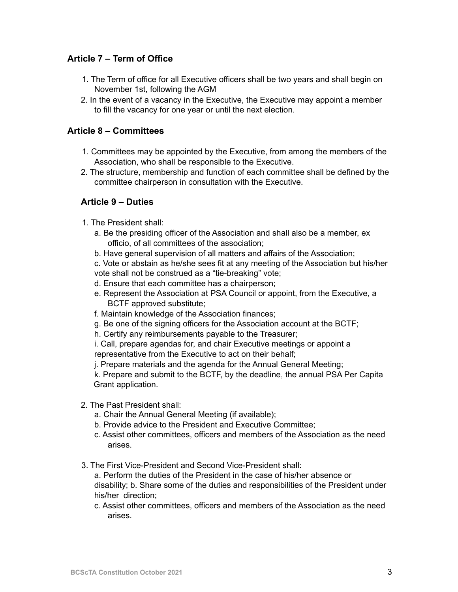# **Article 7 – Term of Office**

- 1. The Term of office for all Executive officers shall be two years and shall begin on November 1st, following the AGM
- 2. In the event of a vacancy in the Executive, the Executive may appoint a member to fill the vacancy for one year or until the next election.

### **Article 8 – Committees**

- 1. Committees may be appointed by the Executive, from among the members of the Association, who shall be responsible to the Executive.
- 2. The structure, membership and function of each committee shall be defined by the committee chairperson in consultation with the Executive.

### **Article 9 – Duties**

- 1. The President shall:
	- a. Be the presiding officer of the Association and shall also be a member, ex officio, of all committees of the association;
	- b. Have general supervision of all matters and affairs of the Association;

c. Vote or abstain as he/she sees fit at any meeting of the Association but his/her vote shall not be construed as a "tie-breaking" vote;

- d. Ensure that each committee has a chairperson;
- e. Represent the Association at PSA Council or appoint, from the Executive, a BCTF approved substitute;
- f. Maintain knowledge of the Association finances;
- g. Be one of the signing officers for the Association account at the BCTF;
- h. Certify any reimbursements payable to the Treasurer;

i. Call, prepare agendas for, and chair Executive meetings or appoint a representative from the Executive to act on their behalf;

j. Prepare materials and the agenda for the Annual General Meeting;

k. Prepare and submit to the BCTF, by the deadline, the annual PSA Per Capita Grant application.

- 2. The Past President shall:
	- a. Chair the Annual General Meeting (if available);
	- b. Provide advice to the President and Executive Committee;
	- c. Assist other committees, officers and members of the Association as the need arises.
- 3. The First Vice-President and Second Vice-President shall:

a. Perform the duties of the President in the case of his/her absence or disability; b. Share some of the duties and responsibilities of the President under his/her direction;

c. Assist other committees, officers and members of the Association as the need arises.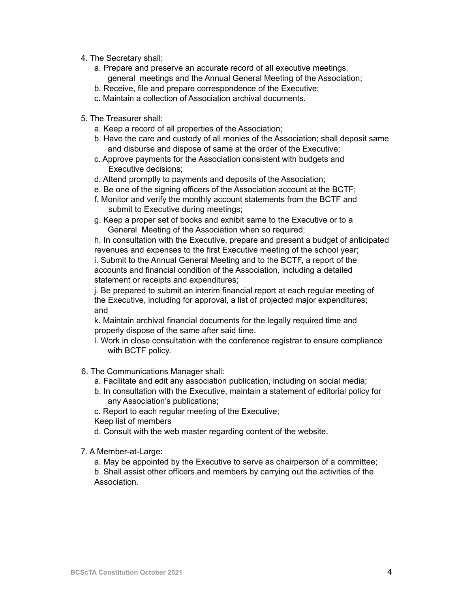- 4. The Secretary shall:
	- a. Prepare and preserve an accurate record of all executive meetings, general meetings and the Annual General Meeting of the Association;
	- b. Receive, file and prepare correspondence of the Executive;
	- c. Maintain a collection of Association archival documents.
- 5. The Treasurer shall:
	- a. Keep a record of all properties of the Association;
	- b. Have the care and custody of all monies of the Association; shall deposit same and disburse and dispose of same at the order of the Executive;
	- c. Approve payments for the Association consistent with budgets and Executive decisions;
	- d. Attend promptly to payments and deposits of the Association;
	- e. Be one of the signing officers of the Association account at the BCTF;
	- f. Monitor and verify the monthly account statements from the BCTF and submit to Executive during meetings;
	- g. Keep a proper set of books and exhibit same to the Executive or to a General Meeting of the Association when so required;

h. In consultation with the Executive, prepare and present a budget of anticipated revenues and expenses to the first Executive meeting of the school year; i. Submit to the Annual General Meeting and to the BCTF, a report of the accounts and financial condition of the Association, including a detailed statement or receipts and expenditures;

j. Be prepared to submit an interim financial report at each regular meeting of the Executive, including for approval, a list of projected major expenditures; and

k. Maintain archival financial documents for the legally required time and properly dispose of the same after said time.

- l. Work in close consultation with the conference registrar to ensure compliance with BCTF policy.
- 6. The Communications Manager shall:
	- a. Facilitate and edit any association publication, including on social media;
	- b. In consultation with the Executive, maintain a statement of editorial policy for any Association's publications;
	- c. Report to each regular meeting of the Executive;
	- Keep list of members
	- d. Consult with the web master regarding content of the website.
- 7. A Member-at-Large:

a. May be appointed by the Executive to serve as chairperson of a committee; b. Shall assist other officers and members by carrying out the activities of the Association.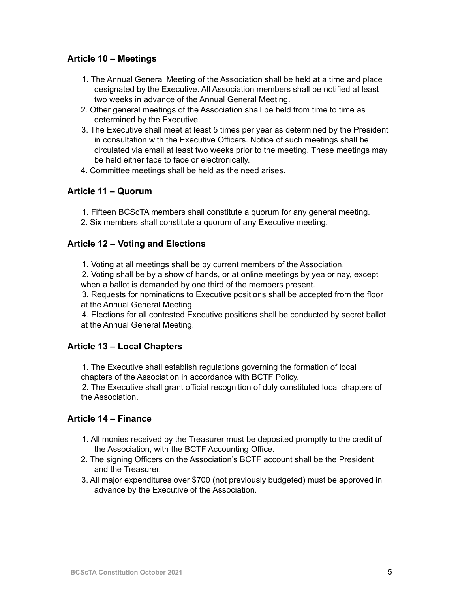### **Article 10 – Meetings**

- 1. The Annual General Meeting of the Association shall be held at a time and place designated by the Executive. All Association members shall be notified at least two weeks in advance of the Annual General Meeting.
- 2. Other general meetings of the Association shall be held from time to time as determined by the Executive.
- 3. The Executive shall meet at least 5 times per year as determined by the President in consultation with the Executive Officers. Notice of such meetings shall be circulated via email at least two weeks prior to the meeting. These meetings may be held either face to face or electronically.
- 4. Committee meetings shall be held as the need arises.

# **Article 11 – Quorum**

- 1. Fifteen BCScTA members shall constitute a quorum for any general meeting.
- 2. Six members shall constitute a quorum of any Executive meeting.

### **Article 12 – Voting and Elections**

1. Voting at all meetings shall be by current members of the Association.

2. Voting shall be by a show of hands, or at online meetings by yea or nay, except when a ballot is demanded by one third of the members present.

3. Requests for nominations to Executive positions shall be accepted from the floor at the Annual General Meeting.

4. Elections for all contested Executive positions shall be conducted by secret ballot at the Annual General Meeting.

### **Article 13 – Local Chapters**

1. The Executive shall establish regulations governing the formation of local chapters of the Association in accordance with BCTF Policy.

2. The Executive shall grant official recognition of duly constituted local chapters of the Association.

# **Article 14 – Finance**

- 1. All monies received by the Treasurer must be deposited promptly to the credit of the Association, with the BCTF Accounting Office.
- 2. The signing Officers on the Association's BCTF account shall be the President and the Treasurer.
- 3. All major expenditures over \$700 (not previously budgeted) must be approved in advance by the Executive of the Association.